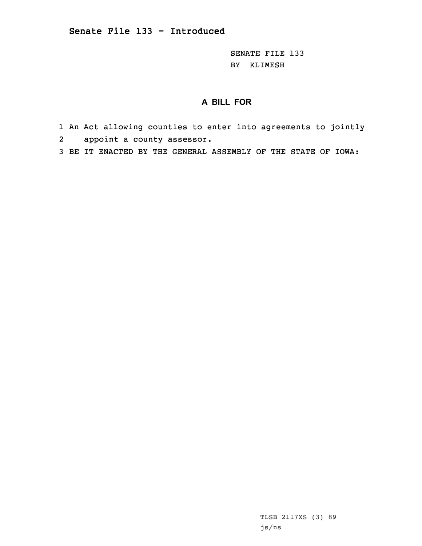SENATE FILE 133 BY KLIMESH

## **A BILL FOR**

- 1 An Act allowing counties to enter into agreements to jointly 2appoint <sup>a</sup> county assessor.
- 3 BE IT ENACTED BY THE GENERAL ASSEMBLY OF THE STATE OF IOWA:

TLSB 2117XS (3) 89 js/ns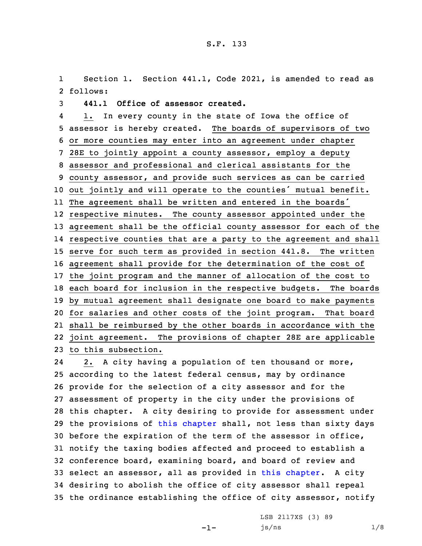1 Section 1. Section 441.1, Code 2021, is amended to read as 2 follows:

3 **441.1 Office of assessor created.**

4 1. In every county in the state of Iowa the office of assessor is hereby created. The boards of supervisors of two or more counties may enter into an agreement under chapter 28E to jointly appoint <sup>a</sup> county assessor, employ <sup>a</sup> deputy assessor and professional and clerical assistants for the county assessor, and provide such services as can be carried out jointly and will operate to the counties' mutual benefit. The agreement shall be written and entered in the boards' respective minutes. The county assessor appointed under the agreement shall be the official county assessor for each of the respective counties that are <sup>a</sup> party to the agreement and shall serve for such term as provided in section 441.8. The written agreement shall provide for the determination of the cost of the joint program and the manner of allocation of the cost to each board for inclusion in the respective budgets. The boards by mutual agreement shall designate one board to make payments for salaries and other costs of the joint program. That board shall be reimbursed by the other boards in accordance with the joint agreement. The provisions of chapter 28E are applicable to this subsection.

24 2. <sup>A</sup> city having <sup>a</sup> population of ten thousand or more, according to the latest federal census, may by ordinance provide for the selection of <sup>a</sup> city assessor and for the assessment of property in the city under the provisions of this chapter. <sup>A</sup> city desiring to provide for assessment under the provisions of this [chapter](https://www.legis.iowa.gov/docs/code/2021/441.pdf) shall, not less than sixty days before the expiration of the term of the assessor in office, notify the taxing bodies affected and proceed to establish <sup>a</sup> conference board, examining board, and board of review and select an assessor, all as provided in this [chapter](https://www.legis.iowa.gov/docs/code/2021/441.pdf). <sup>A</sup> city desiring to abolish the office of city assessor shall repeal the ordinance establishing the office of city assessor, notify

-1-

LSB 2117XS (3) 89  $js/ns$  1/8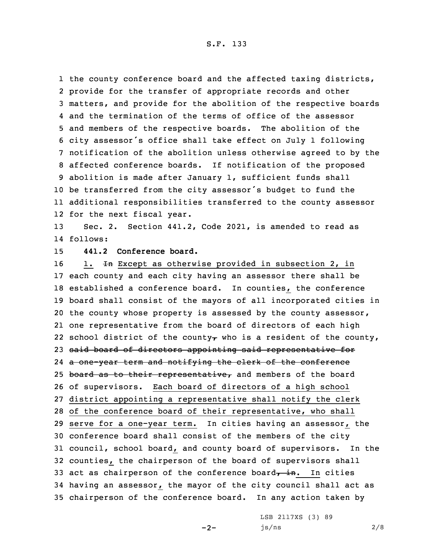1 the county conference board and the affected taxing districts, provide for the transfer of appropriate records and other matters, and provide for the abolition of the respective boards and the termination of the terms of office of the assessor and members of the respective boards. The abolition of the city assessor's office shall take effect on July <sup>1</sup> following notification of the abolition unless otherwise agreed to by the affected conference boards. If notification of the proposed abolition is made after January 1, sufficient funds shall be transferred from the city assessor's budget to fund the additional responsibilities transferred to the county assessor for the next fiscal year.

13 Sec. 2. Section 441.2, Code 2021, is amended to read as 14 follows:

15 **441.2 Conference board.**

16 1. In Except as otherwise provided in subsection 2, in each county and each city having an assessor there shall be established <sup>a</sup> conference board. In counties, the conference board shall consist of the mayors of all incorporated cities in the county whose property is assessed by the county assessor, one representative from the board of directors of each high 22 school district of the county, who is a resident of the county, said board of directors appointing said representative for <sup>a</sup> one-year term and notifying the clerk of the conference 25 board as to their representative, and members of the board of supervisors. Each board of directors of <sup>a</sup> high school district appointing <sup>a</sup> representative shall notify the clerk 28 of the conference board of their representative, who shall serve for <sup>a</sup> one-year term. In cities having an assessor, the conference board shall consist of the members of the city council, school board, and county board of supervisors. In the counties, the chairperson of the board of supervisors shall 33 act as chairperson of the conference board $\overline{t}$  in. In cities having an assessor, the mayor of the city council shall act as chairperson of the conference board. In any action taken by

 $-2-$ 

LSB 2117XS (3) 89 js/ns 2/8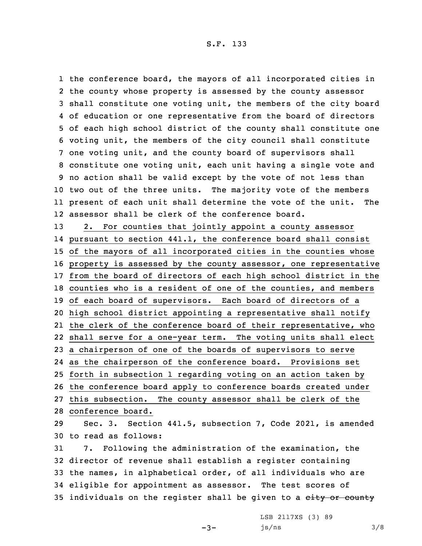the conference board, the mayors of all incorporated cities in the county whose property is assessed by the county assessor shall constitute one voting unit, the members of the city board of education or one representative from the board of directors of each high school district of the county shall constitute one voting unit, the members of the city council shall constitute one voting unit, and the county board of supervisors shall constitute one voting unit, each unit having <sup>a</sup> single vote and no action shall be valid except by the vote of not less than two out of the three units. The majority vote of the members present of each unit shall determine the vote of the unit. The assessor shall be clerk of the conference board.

 2. For counties that jointly appoint <sup>a</sup> county assessor pursuant to section 441.1, the conference board shall consist of the mayors of all incorporated cities in the counties whose property is assessed by the county assessor, one representative from the board of directors of each high school district in the counties who is <sup>a</sup> resident of one of the counties, and members of each board of supervisors. Each board of directors of <sup>a</sup> high school district appointing <sup>a</sup> representative shall notify the clerk of the conference board of their representative, who shall serve for <sup>a</sup> one-year term. The voting units shall elect <sup>a</sup> chairperson of one of the boards of supervisors to serve as the chairperson of the conference board. Provisions set forth in subsection 1 regarding voting on an action taken by the conference board apply to conference boards created under this subsection. The county assessor shall be clerk of the conference board. Sec. 3. Section 441.5, subsection 7, Code 2021, is amended to read as follows:

 7. Following the administration of the examination, the director of revenue shall establish <sup>a</sup> register containing the names, in alphabetical order, of all individuals who are eligible for appointment as assessor. The test scores of 35 individuals on the register shall be given to a eity or county

 $-3-$ 

LSB 2117XS (3) 89  $js/ns$  3/8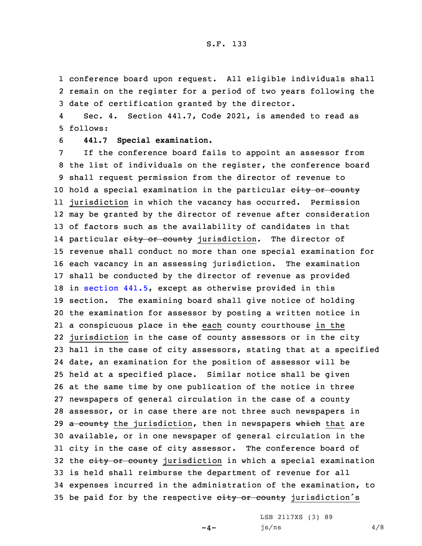1 conference board upon request. All eligible individuals shall 2 remain on the register for <sup>a</sup> period of two years following the 3 date of certification granted by the director.

4 Sec. 4. Section 441.7, Code 2021, is amended to read as 5 follows:

6 **441.7 Special examination.**

 If the conference board fails to appoint an assessor from the list of individuals on the register, the conference board shall request permission from the director of revenue to 10 hold a special examination in the particular eity or county jurisdiction in which the vacancy has occurred. Permission may be granted by the director of revenue after consideration of factors such as the availability of candidates in that 14 particular <del>city or county</del> jurisdiction. The director of revenue shall conduct no more than one special examination for each vacancy in an assessing jurisdiction. The examination shall be conducted by the director of revenue as provided in [section](https://www.legis.iowa.gov/docs/code/2021/441.5.pdf) 441.5, except as otherwise provided in this section. The examining board shall give notice of holding the examination for assessor by posting <sup>a</sup> written notice in 21 a conspicuous place in the each county courthouse in the jurisdiction in the case of county assessors or in the city hall in the case of city assessors, stating that at <sup>a</sup> specified date, an examination for the position of assessor will be held at <sup>a</sup> specified place. Similar notice shall be given at the same time by one publication of the notice in three newspapers of general circulation in the case of <sup>a</sup> county assessor, or in case there are not three such newspapers in 29 a county the jurisdiction, then in newspapers which that are available, or in one newspaper of general circulation in the city in the case of city assessor. The conference board of 32 the eity or county jurisdiction in which a special examination is held shall reimburse the department of revenue for all expenses incurred in the administration of the examination, to 35 be paid for by the respective eity or county jurisdiction's

 $-4-$ 

LSB 2117XS (3) 89  $js/ns$  4/8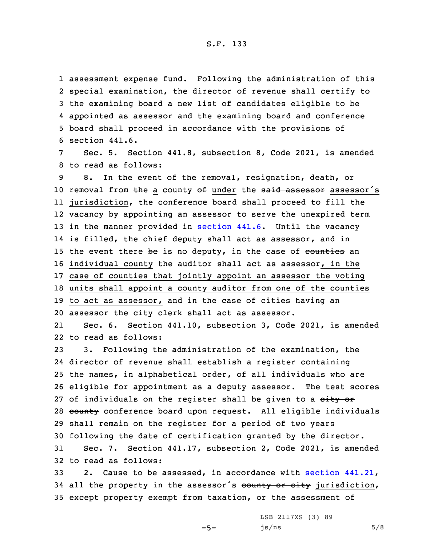assessment expense fund. Following the administration of this special examination, the director of revenue shall certify to the examining board <sup>a</sup> new list of candidates eligible to be appointed as assessor and the examining board and conference board shall proceed in accordance with the provisions of section 441.6.

Sec. 5. Section 441.8, subsection 8, Code 2021, is amended 8 to read as follows:

 8. In the event of the removal, resignation, death, or 10 removal from the a county of under the said assessor assessor's jurisdiction, the conference board shall proceed to fill the vacancy by appointing an assessor to serve the unexpired term 13 in the manner provided in [section](https://www.legis.iowa.gov/docs/code/2021/441.6.pdf) 441.6. Until the vacancy is filled, the chief deputy shall act as assessor, and in 15 the event there be is no deputy, in the case of  $counties$  an individual county the auditor shall act as assessor, in the case of counties that jointly appoint an assessor the voting units shall appoint <sup>a</sup> county auditor from one of the counties to act as assessor, and in the case of cities having an assessor the city clerk shall act as assessor.

21 Sec. 6. Section 441.10, subsection 3, Code 2021, is amended 22 to read as follows:

 3. Following the administration of the examination, the director of revenue shall establish <sup>a</sup> register containing the names, in alphabetical order, of all individuals who are eligible for appointment as <sup>a</sup> deputy assessor. The test scores 27 of individuals on the register shall be given to a eity or 28 county conference board upon request. All eligible individuals shall remain on the register for <sup>a</sup> period of two years following the date of certification granted by the director. Sec. 7. Section 441.17, subsection 2, Code 2021, is amended

32 to read as follows:

33 2. Cause to be assessed, in accordance with section [441.21](https://www.legis.iowa.gov/docs/code/2021/441.21.pdf), 34 all the property in the assessor's county or city jurisdiction, 35 except property exempt from taxation, or the assessment of

 $-5-$ 

LSB 2117XS (3) 89  $js/ns$  5/8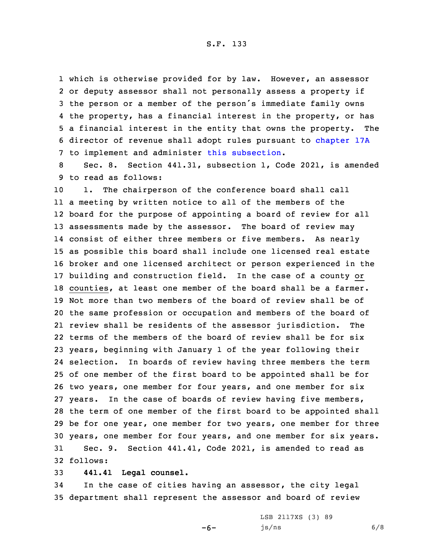S.F. 133

 which is otherwise provided for by law. However, an assessor or deputy assessor shall not personally assess <sup>a</sup> property if the person or <sup>a</sup> member of the person's immediate family owns the property, has <sup>a</sup> financial interest in the property, or has <sup>a</sup> financial interest in the entity that owns the property. The director of revenue shall adopt rules pursuant to [chapter](https://www.legis.iowa.gov/docs/code/2021/17A.pdf) 17A 7 to implement and administer this [subsection](https://www.legis.iowa.gov/docs/code/2021/441.17.pdf).

8 Sec. 8. Section 441.31, subsection 1, Code 2021, is amended 9 to read as follows:

 1. The chairperson of the conference board shall call <sup>a</sup> meeting by written notice to all of the members of the board for the purpose of appointing <sup>a</sup> board of review for all assessments made by the assessor. The board of review may consist of either three members or five members. As nearly as possible this board shall include one licensed real estate broker and one licensed architect or person experienced in the building and construction field. In the case of <sup>a</sup> county or counties, at least one member of the board shall be <sup>a</sup> farmer. Not more than two members of the board of review shall be of the same profession or occupation and members of the board of review shall be residents of the assessor jurisdiction. The terms of the members of the board of review shall be for six years, beginning with January 1 of the year following their selection. In boards of review having three members the term of one member of the first board to be appointed shall be for two years, one member for four years, and one member for six years. In the case of boards of review having five members, the term of one member of the first board to be appointed shall be for one year, one member for two years, one member for three years, one member for four years, and one member for six years. Sec. 9. Section 441.41, Code 2021, is amended to read as 32 follows:

33 **441.41 Legal counsel.**

34 In the case of cities having an assessor, the city legal 35 department shall represent the assessor and board of review

 $-6-$ 

LSB 2117XS (3) 89  $js/ns$  6/8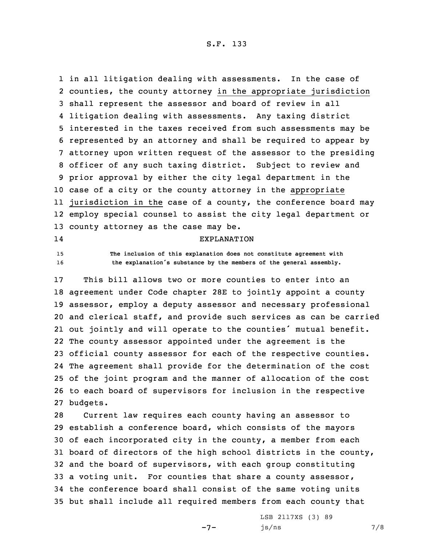S.F. 133

 in all litigation dealing with assessments. In the case of counties, the county attorney in the appropriate jurisdiction shall represent the assessor and board of review in all litigation dealing with assessments. Any taxing district interested in the taxes received from such assessments may be represented by an attorney and shall be required to appear by attorney upon written request of the assessor to the presiding officer of any such taxing district. Subject to review and prior approval by either the city legal department in the case of <sup>a</sup> city or the county attorney in the appropriate jurisdiction in the case of <sup>a</sup> county, the conference board may employ special counsel to assist the city legal department or county attorney as the case may be.

## 14

## EXPLANATION

15 **The inclusion of this explanation does not constitute agreement with** <sup>16</sup> **the explanation's substance by the members of the general assembly.**

 This bill allows two or more counties to enter into an agreement under Code chapter 28E to jointly appoint <sup>a</sup> county assessor, employ <sup>a</sup> deputy assessor and necessary professional and clerical staff, and provide such services as can be carried out jointly and will operate to the counties' mutual benefit. The county assessor appointed under the agreement is the official county assessor for each of the respective counties. The agreement shall provide for the determination of the cost of the joint program and the manner of allocation of the cost to each board of supervisors for inclusion in the respective 27 budgets.

 Current law requires each county having an assessor to establish <sup>a</sup> conference board, which consists of the mayors of each incorporated city in the county, <sup>a</sup> member from each board of directors of the high school districts in the county, and the board of supervisors, with each group constituting <sup>a</sup> voting unit. For counties that share <sup>a</sup> county assessor, the conference board shall consist of the same voting units but shall include all required members from each county that

 $-7-$ 

LSB 2117XS (3) 89  $js/ns$  7/8